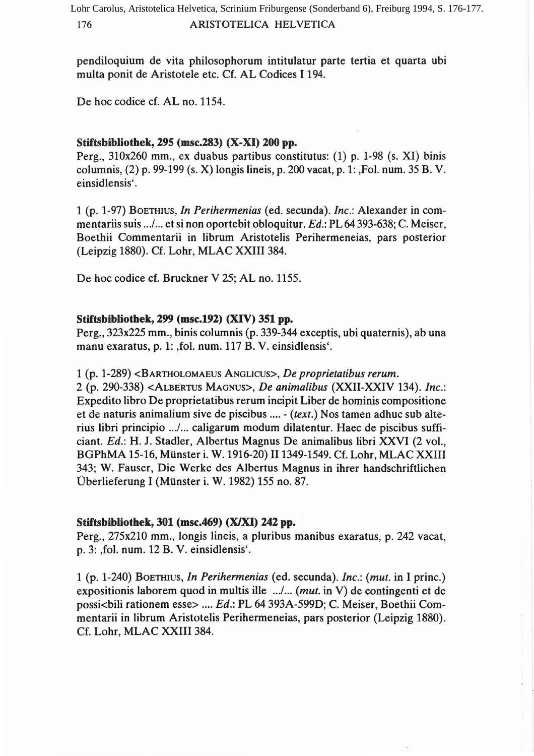pendiloquium de vita philosophorum intitulatur parte tertia et quarta ubi multa ponit de Aristotele etc. Cf. AL Codices I 194.

De hoc codice cf. AL no. 1154.

# Stiftsbibliothek, 295 (msc.283) (X-XI) 200 pp.

Perg., 310x260 mm., ex duabus partibus constitutus: (1) p. 1-98 (s. XI) binis columnis, (2) p. 99-199 (s. X) longis Iineis, p. 200 vacat, p. 1: ,Fol. num. 35 B. V. einsidlensis'.

1 (p. 1-97) BOETHIUS, *In Perihermenias* (ed. secunda). *Inc.:* Alexander in commentariis suis .. ./... et si non oportebit obloquitur. *Ed.:* PL 64 393-638; C.Meiser, Boethii Commentarii in Iibrum Aristotelis Perihermeneias, pars posterior (Leipzig 1880). Cf. Lohr, MLAC XXIII 384.

De hoc codice cf. Bruckner V 25; AL no. 1155.

# Stiftsbibliothek, 299 (msc.192) (XIV) 351 pp.

Perg., 323x225 mm., binis columnis (p. 339-344 exceptis, ubi quaternis), ab una manu exaratus, p. 1: ,fol. num. 117 B. V. einsidlensis'.

1 (p. 1-289) <BARTHOLOMAEUS ANGLICUS>, *De proprietatibus rerum.*

2 (p. 290-338) <ALBERTUS MAGNUS>, *De animalibus* (XXII-XXIV 134). *Inc.:* Expedito libro De proprietatibus rerum incipit Liber de hominis compositione et de naturis animalium sive de piscibus .... - *(text.)* Nos tamen adhuc sub alterius libri principio .../... caligarum modum dilatentur. Haec de piscibus sufficiant. *Ed.:* H. J. Stadler, Albertus Magnus De animalibus libri XXVI (2 vol., BGPhMA 15-16, Mtinster i. W. 1916-20) II 1349-1549. Cf. Lohr, MLAC XXIII 343; W. Fauser, Die Werke des Albertus Magnus in ihrer handschriftlichen Überlieferung I (Münster i. W. 1982) 155 no. 87.

## Stiftsbibliothek, 301 (msc.469) (XIXI) 242 pp.

Perg., 275x210 mm., longis Iineis, a pluribus manibus exaratus, p. 242 vacat, p. 3: ,fol. num. 12 B. V. einsidlensis'.

1 (p. 1-240) BOETHIUS, *In Perihermenias* (ed. secunda). *Inc.: (mut.* in I princ.) expositionis laborem quod in multis iIIe .../... *(mut.* in V) de contingenti et de possi<bili rationem esse> .... *Ed.:* PL 64 393A-599D; C. Meiser, Boethii Commentarii in Iibrum Aristotelis Perihermeneias, pars posterior (Leipzig 1880). Cf. Lohr, MLAC XXIII 384.